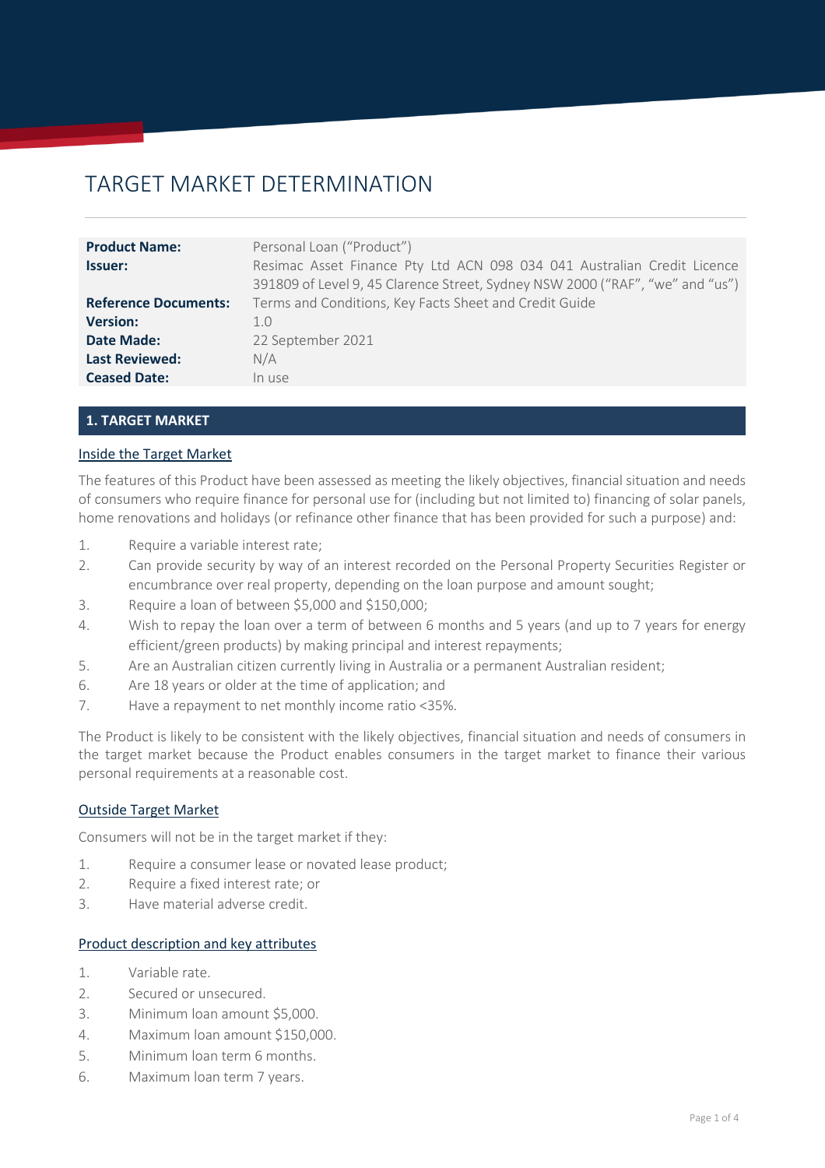# TARGET MARKET DETERMINATION

| <b>Product Name:</b><br><b>Issuer:</b> | Personal Loan ("Product")<br>Resimac Asset Finance Pty Ltd ACN 098 034 041 Australian Credit Licence<br>391809 of Level 9, 45 Clarence Street, Sydney NSW 2000 ("RAF", "we" and "us") |
|----------------------------------------|---------------------------------------------------------------------------------------------------------------------------------------------------------------------------------------|
| <b>Reference Documents:</b>            | Terms and Conditions, Key Facts Sheet and Credit Guide                                                                                                                                |
| <b>Version:</b>                        | 1.0                                                                                                                                                                                   |
| <b>Date Made:</b>                      | 22 September 2021                                                                                                                                                                     |
| <b>Last Reviewed:</b>                  | N/A                                                                                                                                                                                   |
| <b>Ceased Date:</b>                    | In use                                                                                                                                                                                |

# **1. TARGET MARKET**

#### Inside the Target Market

The features of this Product have been assessed as meeting the likely objectives, financial situation and needs of consumers who require finance for personal use for (including but not limited to) financing of solar panels, home renovations and holidays (or refinance other finance that has been provided for such a purpose) and:

- 1. Require a variable interest rate;
- 2. Can provide security by way of an interest recorded on the Personal Property Securities Register or encumbrance over real property, depending on the loan purpose and amount sought;
- 3. Require a loan of between \$5,000 and \$150,000;
- 4. Wish to repay the loan over a term of between 6 months and 5 years (and up to 7 years for energy efficient/green products) by making principal and interest repayments;
- 5. Are an Australian citizen currently living in Australia or a permanent Australian resident;
- 6. Are 18 years or older at the time of application; and
- 7. Have a repayment to net monthly income ratio <35%.

The Product is likely to be consistent with the likely objectives, financial situation and needs of consumers in the target market because the Product enables consumers in the target market to finance their various personal requirements at a reasonable cost.

#### Outside Target Market

Consumers will not be in the target market if they:

- 1. Require a consumer lease or novated lease product;
- 2. Require a fixed interest rate; or
- 3. Have material adverse credit.

#### Product description and key attributes

- 1. Variable rate.
- 2. Secured or unsecured.
- 3. Minimum loan amount \$5,000.
- 4. Maximum loan amount \$150,000.
- 5. Minimum loan term 6 months.
- 6. Maximum loan term 7 years.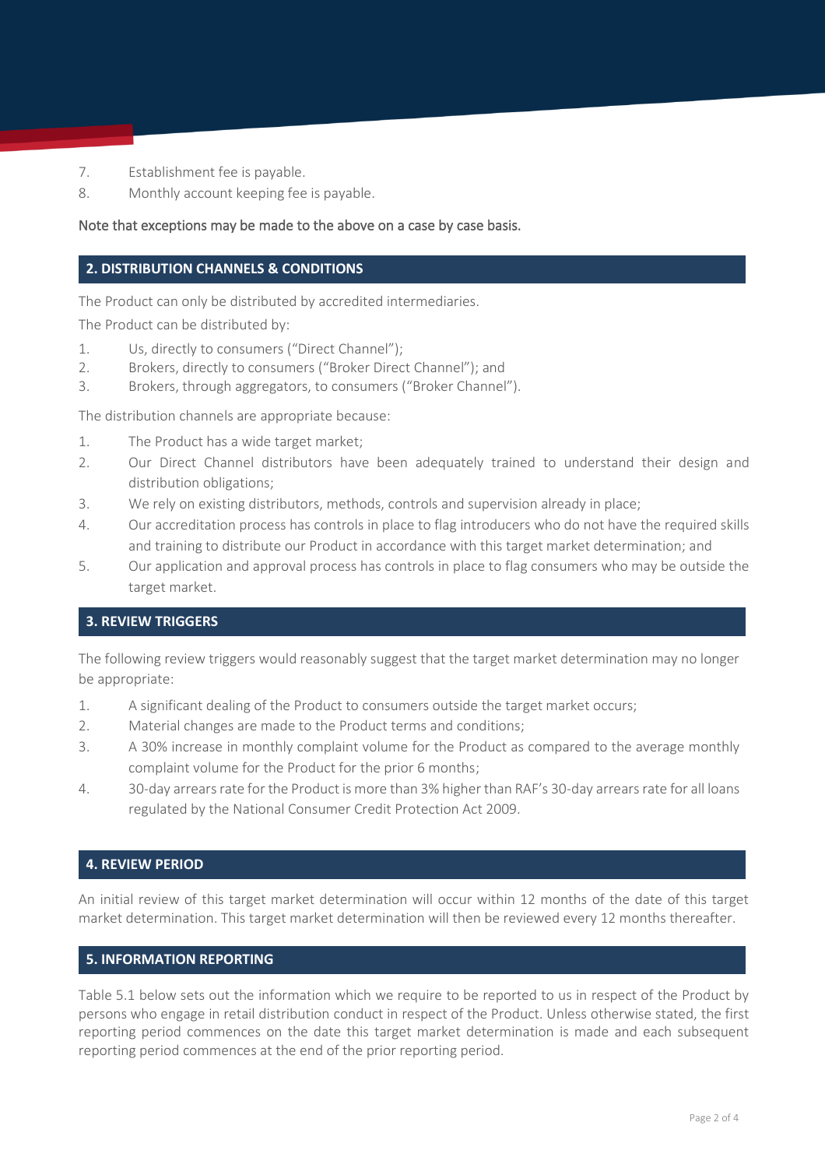- 7. Establishment fee is payable.
- 8. Monthly account keeping fee is payable.

## Note that exceptions may be made to the above on a case by case basis.

# **2. DISTRIBUTION CHANNELS & CONDITIONS**

The Product can only be distributed by accredited intermediaries.

The Product can be distributed by:

- 1. Us, directly to consumers ("Direct Channel");
- 2. Brokers, directly to consumers ("Broker Direct Channel"); and
- 3. Brokers, through aggregators, to consumers ("Broker Channel").

The distribution channels are appropriate because:

- 1. The Product has a wide target market;
- 2. Our Direct Channel distributors have been adequately trained to understand their design and distribution obligations:
- 3. We rely on existing distributors, methods, controls and supervision already in place;
- 4. Our accreditation process has controls in place to flag introducers who do not have the required skills and training to distribute our Product in accordance with this target market determination; and
- 5. Our application and approval process has controls in place to flag consumers who may be outside the target market.

## **3. REVIEW TRIGGERS**

The following review triggers would reasonably suggest that the target market determination may no longer be appropriate:

- 1. A significant dealing of the Product to consumers outside the target market occurs;
- 2. Material changes are made to the Product terms and conditions;
- 3. A 30% increase in monthly complaint volume for the Product as compared to the average monthly complaint volume for the Product for the prior 6 months;
- 4. 30-day arrears rate for the Product is more than 3% higher than RAF's 30-day arrears rate for all loans regulated by the National Consumer Credit Protection Act 2009.

## **4. REVIEW PERIOD**

An initial review of this target market determination will occur within 12 months of the date of this target market determination. This target market determination will then be reviewed every 12 months thereafter.

# **5. INFORMATION REPORTING**

Table 5.1 below sets out the information which we require to be reported to us in respect of the Product by persons who engage in retail distribution conduct in respect of the Product. Unless otherwise stated, the first reporting period commences on the date this target market determination is made and each subsequent reporting period commences at the end of the prior reporting period.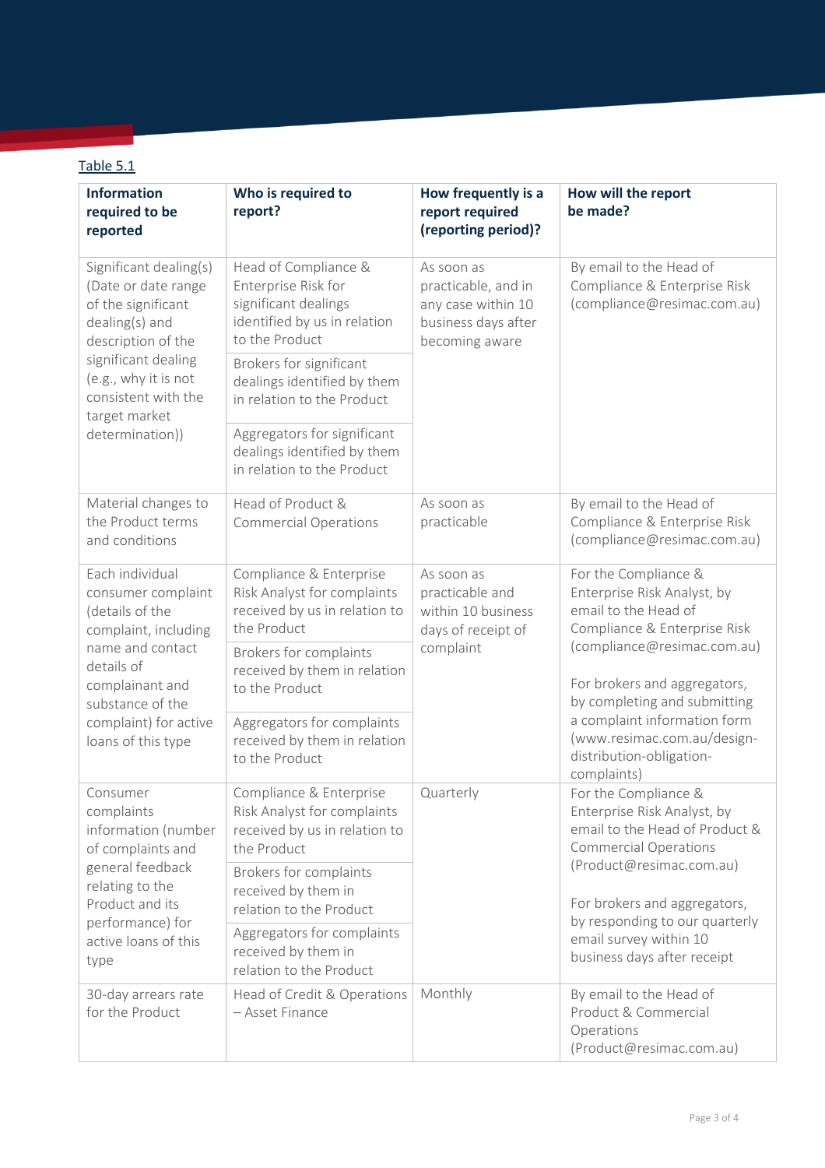# Table 5.1

| <b>Information</b><br>required to be<br>reported                                                                                                                                                                      | Who is required to<br>report?                                                                                         | How frequently is a<br>report required<br>(reporting period)?                                    | How will the report<br>be made?                                                                                                                                                                                                                                                                                      |
|-----------------------------------------------------------------------------------------------------------------------------------------------------------------------------------------------------------------------|-----------------------------------------------------------------------------------------------------------------------|--------------------------------------------------------------------------------------------------|----------------------------------------------------------------------------------------------------------------------------------------------------------------------------------------------------------------------------------------------------------------------------------------------------------------------|
| Significant dealing(s)<br>(Date or date range<br>of the significant<br>dealing(s) and<br>description of the<br>significant dealing<br>(e.g., why it is not<br>consistent with the<br>target market<br>determination)) | Head of Compliance &<br>Enterprise Risk for<br>significant dealings<br>identified by us in relation<br>to the Product | As soon as<br>practicable, and in<br>any case within 10<br>business days after<br>becoming aware | By email to the Head of<br>Compliance & Enterprise Risk<br>(compliance@resimac.com.au)                                                                                                                                                                                                                               |
|                                                                                                                                                                                                                       | Brokers for significant<br>dealings identified by them<br>in relation to the Product                                  |                                                                                                  |                                                                                                                                                                                                                                                                                                                      |
|                                                                                                                                                                                                                       | Aggregators for significant<br>dealings identified by them<br>in relation to the Product                              |                                                                                                  |                                                                                                                                                                                                                                                                                                                      |
| Material changes to<br>the Product terms<br>and conditions                                                                                                                                                            | Head of Product &<br><b>Commercial Operations</b>                                                                     | As soon as<br>practicable                                                                        | By email to the Head of<br>Compliance & Enterprise Risk<br>(compliance@resimac.com.au)                                                                                                                                                                                                                               |
| Each individual<br>consumer complaint<br>(details of the<br>complaint, including<br>name and contact<br>details of<br>complainant and<br>substance of the<br>complaint) for active<br>loans of this type              | Compliance & Enterprise<br>Risk Analyst for complaints<br>received by us in relation to<br>the Product                | As soon as<br>practicable and<br>within 10 business<br>days of receipt of<br>complaint           | For the Compliance &<br>Enterprise Risk Analyst, by<br>email to the Head of<br>Compliance & Enterprise Risk<br>(compliance@resimac.com.au)<br>For brokers and aggregators,<br>by completing and submitting<br>a complaint information form<br>(www.resimac.com.au/design-<br>distribution-obligation-<br>complaints) |
|                                                                                                                                                                                                                       | Brokers for complaints<br>received by them in relation<br>to the Product                                              |                                                                                                  |                                                                                                                                                                                                                                                                                                                      |
|                                                                                                                                                                                                                       | Aggregators for complaints<br>received by them in relation<br>to the Product                                          |                                                                                                  |                                                                                                                                                                                                                                                                                                                      |
| Consumer<br>complaints<br>information (number<br>of complaints and<br>general feedback<br>relating to the<br>Product and its<br>performance) for<br>active loans of this<br>type                                      | Compliance & Enterprise<br>Risk Analyst for complaints<br>received by us in relation to<br>the Product                | Quarterly                                                                                        | For the Compliance &<br>Enterprise Risk Analyst, by<br>email to the Head of Product &<br><b>Commercial Operations</b>                                                                                                                                                                                                |
|                                                                                                                                                                                                                       | Brokers for complaints<br>received by them in<br>relation to the Product                                              |                                                                                                  | (Product@resimac.com.au)<br>For brokers and aggregators,<br>by responding to our quarterly<br>email survey within 10<br>business days after receipt                                                                                                                                                                  |
|                                                                                                                                                                                                                       | Aggregators for complaints<br>received by them in<br>relation to the Product                                          |                                                                                                  |                                                                                                                                                                                                                                                                                                                      |
| 30-day arrears rate<br>for the Product                                                                                                                                                                                | Head of Credit & Operations<br>- Asset Finance                                                                        | Monthly                                                                                          | By email to the Head of<br>Product & Commercial<br>Operations<br>(Product@resimac.com.au)                                                                                                                                                                                                                            |